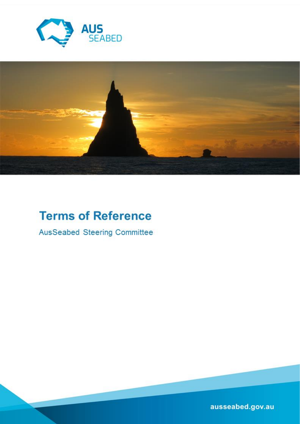



# **Terms of Reference**

AusSeabed Steering Committee

ausseabed.gov.au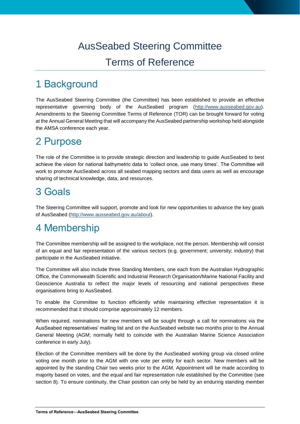# AusSeabed Steering Committee Terms of Reference

### 1 Background

The AusSeabed Steering Committee (the Committee) has been established to provide an effective representative governing body of the AusSeabed program [\(http://www.ausseabed.gov.au\)](http://www.ausseabed.gov.au/). Amendments to the Steering Committee Terms of Reference (TOR) can be brought forward for voting at the Annual General Meeting that will accompany the AusSeabed partnership workshop held alongside the AMSA conference each year.

## 2 Purpose

The role of the Committee is to provide strategic direction and leadership to guide AusSeabed to best achieve the vision for national bathymetric data to 'collect once, use many times'. The Committee will work to promote AusSeabed across all seabed mapping sectors and data users as well as encourage sharing of technical knowledge, data, and resources.

## 3 Goals

The Steering Committee will support, promote and look for new opportunities to advance the key goals of AusSeabed [\(http://www.ausseabed.gov.au/about\)](http://www.ausseabed.gov.au/about).

### 4 Membership

The Committee membership will be assigned to the workplace, not the person. Membership will consist of an equal and fair representation of the various sectors (e.g. government; university; industry) that participate in the AusSeabed initiative.

The Committee will also include three Standing Members, one each from the Australian Hydrographic Office, the Commonwealth Scientific and Industrial Research Organisation/Marine National Facility and Geoscience Australia to reflect the major levels of resourcing and national perspectives these organisations bring to AusSeabed.

To enable the Committee to function efficiently while maintaining effective representation it is recommended that it should comprise approximately 12 members.

When required, nominations for new members will be sought through a call for nominations via the AusSeabed representatives' mailing list and on the AusSeabed website two months prior to the Annual General Meeting (AGM; normally held to coincide with the Australian Marine Science Association conference in early July).

Election of the Committee members will be done by the AusSeabed working group via closed online voting one month prior to the AGM with one vote per entity for each sector. New members will be appointed by the standing Chair two weeks prior to the AGM. Appointment will be made according to majority based on votes, and the equal and fair representation rule established by the Committee (see section 8). To ensure continuity, the Chair position can only be held by an enduring standing member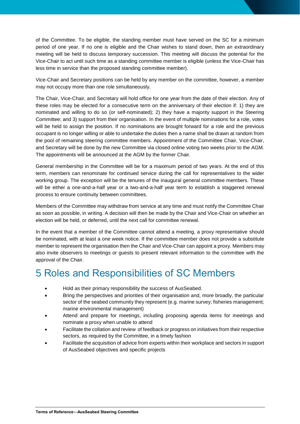of the Committee. To be eligible, the standing member must have served on the SC for a minimum period of one year. If no one is eligible and the Chair wishes to stand down, then an extraordinary meeting will be held to discuss temporary succession. This meeting will discuss the potential for the Vice-Chair to act until such time as a standing committee member is eligible (unless the Vice-Chair has less time in service than the proposed standing committee member).

Vice-Chair and Secretary positions can be held by any member on the committee, however, a member may not occupy more than one role simultaneously.

The Chair, Vice-Chair, and Secretary will hold office for one year from the date of their election. Any of these roles may be elected for a consecutive term on the anniversary of their election if: 1) they are nominated and willing to do so (or self-nominated); 2) they have a majority support in the Steering Committee; and 3) support from their organisation. In the event of multiple nominations for a role, votes will be held to assign the position. If no nominations are brought forward for a role and the previous occupant is no longer willing or able to undertake the duties then a name shall be drawn at random from the pool of remaining steering committee members. Appointment of the Committee Chair, Vice-Chair, and Secretary will be done by the new Committee via closed online voting two weeks prior to the AGM. The appointments will be announced at the AGM by the former Chair.

General membership in the Committee will be for a maximum period of two years. At the end of this term, members can renominate for continued service during the call for representatives to the wider working group. The exception will be the tenures of the inaugural general committee members. These will be either a one-and-a-half year or a two-and-a-half year term to establish a staggered renewal process to ensure continuity between committees.

Members of the Committee may withdraw from service at any time and must notify the Committee Chair as soon as possible, in writing. A decision will then be made by the Chair and Vice-Chair on whether an election will be held, or deferred, until the next call for committee renewal.

In the event that a member of the Committee cannot attend a meeting, a proxy representative should be nominated, with at least a one week notice. If the committee member does not provide a substitute member to represent the organisation then the Chair and Vice-Chair can appoint a proxy. Members may also invite observers to meetings or guests to present relevant information to the committee with the approval of the Chair.

### 5 Roles and Responsibilities of SC Members

- Hold as their primary responsibility the success of AusSeabed.
- Bring the perspectives and priorities of their organisation and, more broadly, the particular sector of the seabed community they represent (e.g. marine survey; fisheries management; marine environmental management)
- Attend and prepare for meetings, including proposing agenda items for meetings and nominate a proxy when unable to attend
- Facilitate the collation and review of feedback or progress on initiatives from their respective sectors, as required by the Committee, in a timely fashion
- Facilitate the acquisition of advice from experts within their workplace and sectors in support of AusSeabed objectives and specific projects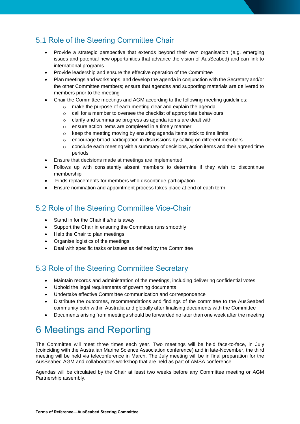### 5.1 Role of the Steering Committee Chair

- Provide a strategic perspective that extends beyond their own organisation (e.g. emerging issues and potential new opportunities that advance the vision of AusSeabed) and can link to international programs
- Provide leadership and ensure the effective operation of the Committee
- Plan meetings and workshops, and develop the agenda in conjunction with the Secretary and/or the other Committee members; ensure that agendas and supporting materials are delivered to members prior to the meeting
- Chair the Committee meetings and AGM according to the following meeting guidelines:
	- o make the purpose of each meeting clear and explain the agenda
	- o call for a member to oversee the checklist of appropriate behaviours
	- o clarify and summarise progress as agenda items are dealt with
	- o ensure action items are completed in a timely manner
	- o keep the meeting moving by ensuring agenda items stick to time limits
	- $\circ$  encourage broad participation in discussions by calling on different members
	- $\circ$  conclude each meeting with a summary of decisions, action items and their agreed time periods
- Ensure that decisions made at meetings are implemented
- Follows up with consistently absent members to determine if they wish to discontinue membership
- Finds replacements for members who discontinue participation
- Ensure nomination and appointment process takes place at end of each term

#### 5.2 Role of the Steering Committee Vice-Chair

- Stand in for the Chair if s/he is away
- Support the Chair in ensuring the Committee runs smoothly
- Help the Chair to plan meetings
- Organise logistics of the meetings
- Deal with specific tasks or issues as defined by the Committee

#### 5.3 Role of the Steering Committee Secretary

- Maintain records and administration of the meetings, including delivering confidential votes
- Uphold the legal requirements of governing documents
- Undertake effective Committee communication and correspondence
- Distribute the outcomes, recommendations and findings of the committee to the AusSeabed community both within Australia and globally after finalising documents with the Committee
- Documents arising from meetings should be forwarded no later than one week after the meeting

### 6 Meetings and Reporting

The Committee will meet three times each year. Two meetings will be held face-to-face, in July (coinciding with the Australian Marine Science Association conference) and in late-November, the third meeting will be held via teleconference in March. The July meeting will be in final preparation for the AusSeabed AGM and collaborators workshop that are held as part of AMSA conference.

Agendas will be circulated by the Chair at least two weeks before any Committee meeting or AGM Partnership assembly.